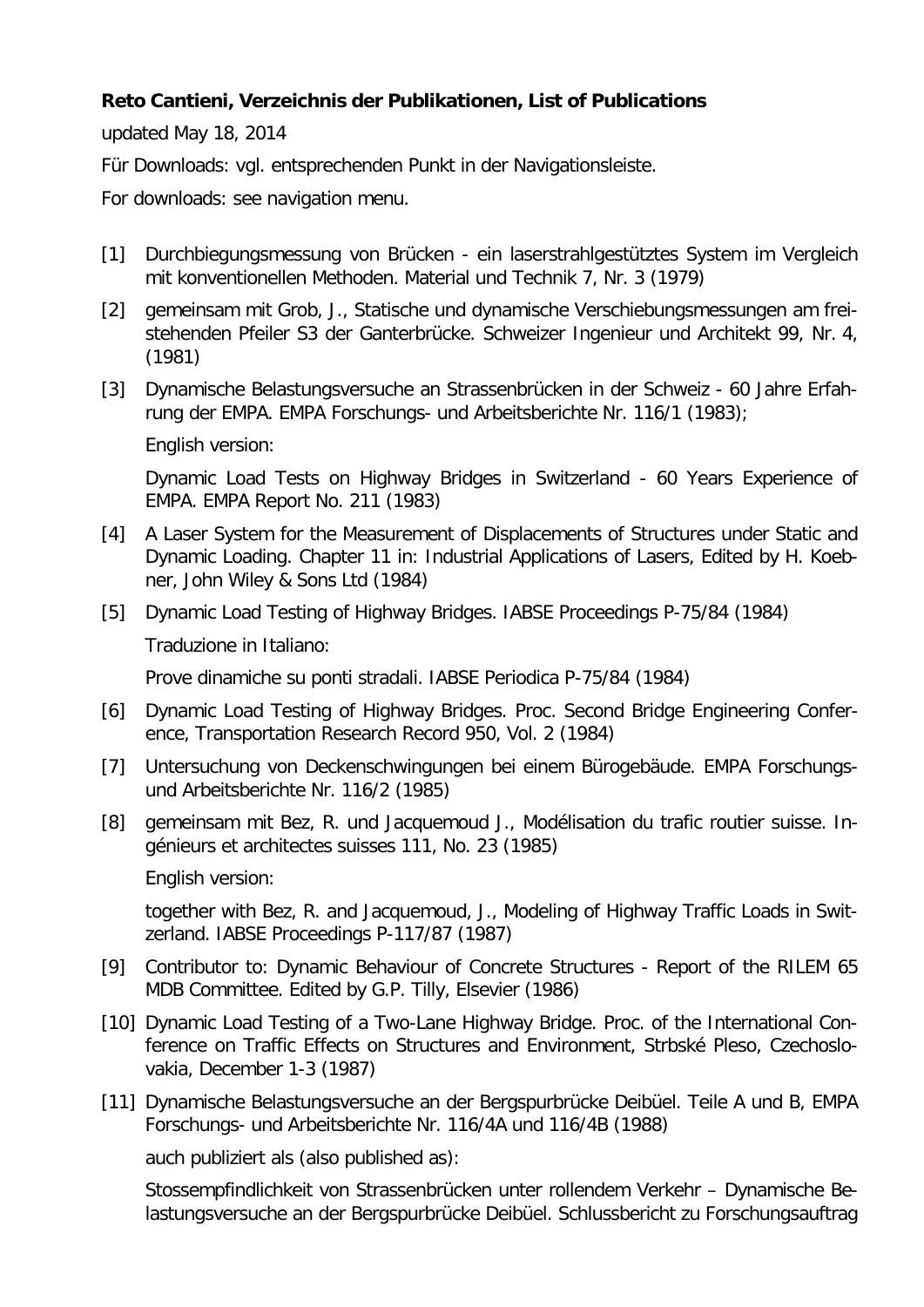## **Reto Cantieni, Verzeichnis der Publikationen, List of Publications**

updated May 18, 2014

Für Downloads: vgl. entsprechenden Punkt in der Navigationsleiste.

For downloads: see navigation menu.

- [1] Durchbiegungsmessung von Brücken ein laserstrahlgestütztes System im Vergleich mit konventionellen Methoden. Material und Technik 7, Nr. 3 (1979)
- [2] gemeinsam mit Grob, J., Statische und dynamische Verschiebungsmessungen am freistehenden Pfeiler S3 der Ganterbrücke. Schweizer Ingenieur und Architekt 99, Nr. 4, (1981)
- [3] Dynamische Belastungsversuche an Strassenbrücken in der Schweiz 60 Jahre Erfahrung der EMPA. EMPA Forschungs- und Arbeitsberichte Nr. 116/1 (1983);

English version:

Dynamic Load Tests on Highway Bridges in Switzerland - 60 Years Experience of EMPA. EMPA Report No. 211 (1983)

- [4] A Laser System for the Measurement of Displacements of Structures under Static and Dynamic Loading. Chapter 11 in: Industrial Applications of Lasers, Edited by H. Koebner, John Wiley & Sons Ltd (1984)
- [5] Dynamic Load Testing of Highway Bridges. IABSE Proceedings P-75/84 (1984) Traduzione in Italiano:

Prove dinamiche su ponti stradali. IABSE Periodica P-75/84 (1984)

- [6] Dynamic Load Testing of Highway Bridges. Proc. Second Bridge Engineering Conference, Transportation Research Record 950, Vol. 2 (1984)
- [7] Untersuchung von Deckenschwingungen bei einem Bürogebäude. EMPA Forschungsund Arbeitsberichte Nr. 116/2 (1985)
- [8] gemeinsam mit Bez, R. und Jacquemoud J., Modélisation du trafic routier suisse. Ingénieurs et architectes suisses 111, No. 23 (1985)

English version:

together with Bez, R. and Jacquemoud, J., Modeling of Highway Traffic Loads in Switzerland. IABSE Proceedings P-117/87 (1987)

- [9] Contributor to: Dynamic Behaviour of Concrete Structures Report of the RILEM 65 MDB Committee. Edited by G.P. Tilly, Elsevier (1986)
- [10] Dynamic Load Testing of a Two-Lane Highway Bridge. Proc. of the International Conference on Traffic Effects on Structures and Environment, Strbské Pleso, Czechoslovakia, December 1-3 (1987)
- [11] Dynamische Belastungsversuche an der Bergspurbrücke Deibüel. Teile A und B, EMPA Forschungs- und Arbeitsberichte Nr. 116/4A und 116/4B (1988)

auch publiziert als (also published as):

Stossempfindlichkeit von Strassenbrücken unter rollendem Verkehr – Dynamische Belastungsversuche an der Bergspurbrücke Deibüel. Schlussbericht zu Forschungsauftrag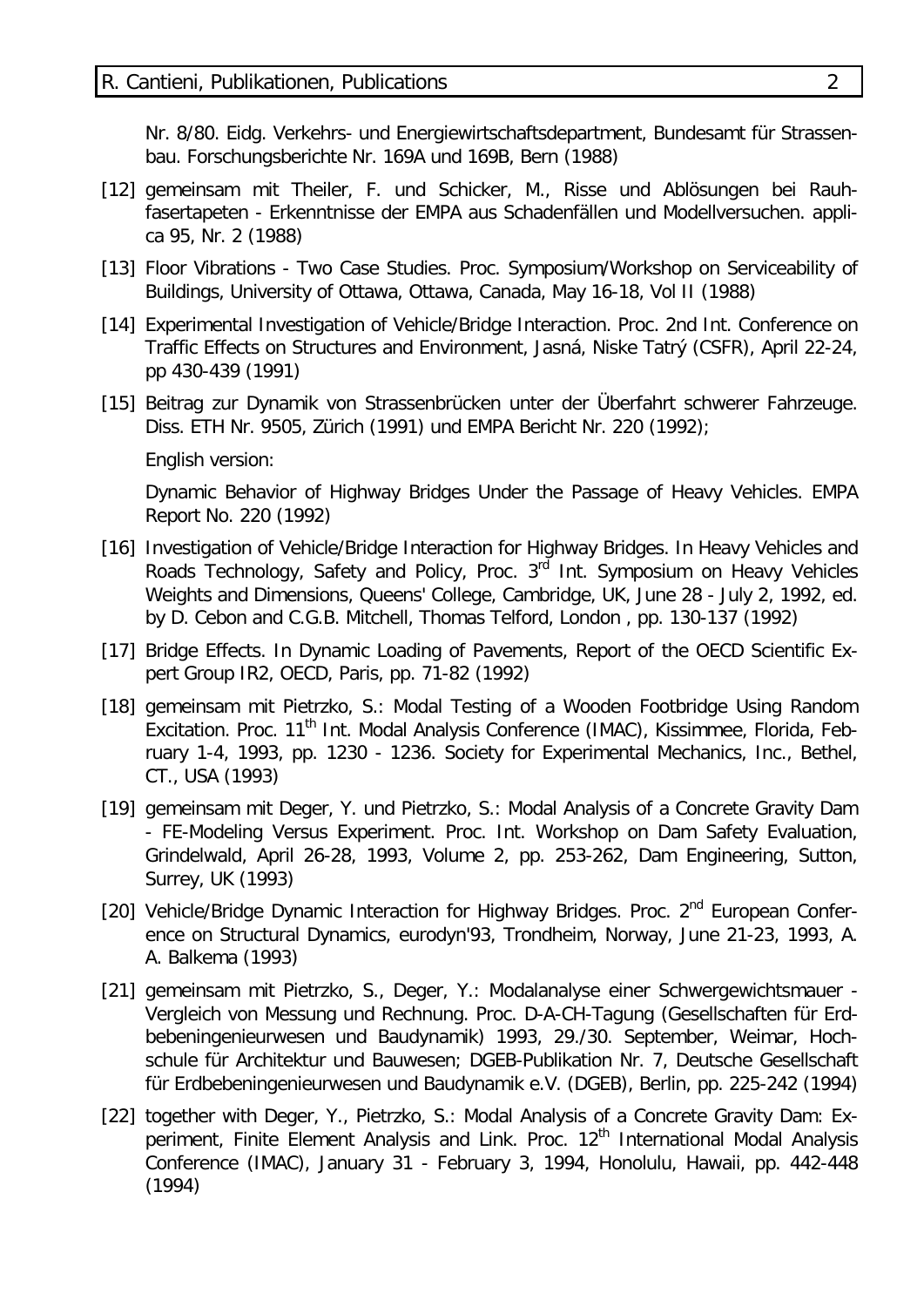Nr. 8/80. Eidg. Verkehrs- und Energiewirtschaftsdepartment, Bundesamt für Strassenbau. Forschungsberichte Nr. 169A und 169B, Bern (1988)

- [12] gemeinsam mit Theiler, F. und Schicker, M., Risse und Ablösungen bei Rauhfasertapeten - Erkenntnisse der EMPA aus Schadenfällen und Modellversuchen. applica 95, Nr. 2 (1988)
- [13] Floor Vibrations Two Case Studies. Proc. Symposium/Workshop on Serviceability of Buildings, University of Ottawa, Ottawa, Canada, May 16-18, Vol II (1988)
- [14] Experimental Investigation of Vehicle/Bridge Interaction. Proc. 2nd Int. Conference on Traffic Effects on Structures and Environment, Jasná, Niske Tatrý (CSFR), April 22-24, pp 430-439 (1991)
- [15] Beitrag zur Dynamik von Strassenbrücken unter der Überfahrt schwerer Fahrzeuge. Diss. ETH Nr. 9505, Zürich (1991) und EMPA Bericht Nr. 220 (1992);

English version:

Dynamic Behavior of Highway Bridges Under the Passage of Heavy Vehicles. EMPA Report No. 220 (1992)

- [16] Investigation of Vehicle/Bridge Interaction for Highway Bridges. In Heavy Vehicles and Roads Technology, Safety and Policy, Proc. 3<sup>rd</sup> Int. Symposium on Heavy Vehicles Weights and Dimensions, Queens' College, Cambridge, UK, June 28 - July 2, 1992, ed. by D. Cebon and C.G.B. Mitchell, Thomas Telford, London , pp. 130-137 (1992)
- [17] Bridge Effects. In Dynamic Loading of Pavements, Report of the OECD Scientific Expert Group IR2, OECD, Paris, pp. 71-82 (1992)
- [18] gemeinsam mit Pietrzko, S.: Modal Testing of a Wooden Footbridge Using Random Excitation. Proc. 11<sup>th</sup> Int. Modal Analysis Conference (IMAC), Kissimmee, Florida, February 1-4, 1993, pp. 1230 - 1236. Society for Experimental Mechanics, Inc., Bethel, CT., USA (1993)
- [19] gemeinsam mit Deger, Y. und Pietrzko, S.: Modal Analysis of a Concrete Gravity Dam - FE-Modeling Versus Experiment. Proc. Int. Workshop on Dam Safety Evaluation, Grindelwald, April 26-28, 1993, Volume 2, pp. 253-262, Dam Engineering, Sutton, Surrey, UK (1993)
- [20] Vehicle/Bridge Dynamic Interaction for Highway Bridges. Proc. 2<sup>nd</sup> European Conference on Structural Dynamics, eurodyn'93, Trondheim, Norway, June 21-23, 1993, A. A. Balkema (1993)
- [21] gemeinsam mit Pietrzko, S., Deger, Y.: Modalanalyse einer Schwergewichtsmauer Vergleich von Messung und Rechnung. Proc. D-A-CH-Tagung (Gesellschaften für Erdbebeningenieurwesen und Baudynamik) 1993, 29./30. September, Weimar, Hochschule für Architektur und Bauwesen; DGEB-Publikation Nr. 7, Deutsche Gesellschaft für Erdbebeningenieurwesen und Baudynamik e.V. (DGEB), Berlin, pp. 225-242 (1994)
- [22] together with Deger, Y., Pietrzko, S.: Modal Analysis of a Concrete Gravity Dam: Experiment, Finite Element Analysis and Link. Proc. 12<sup>th</sup> International Modal Analysis Conference (IMAC), January 31 - February 3, 1994, Honolulu, Hawaii, pp. 442-448 (1994)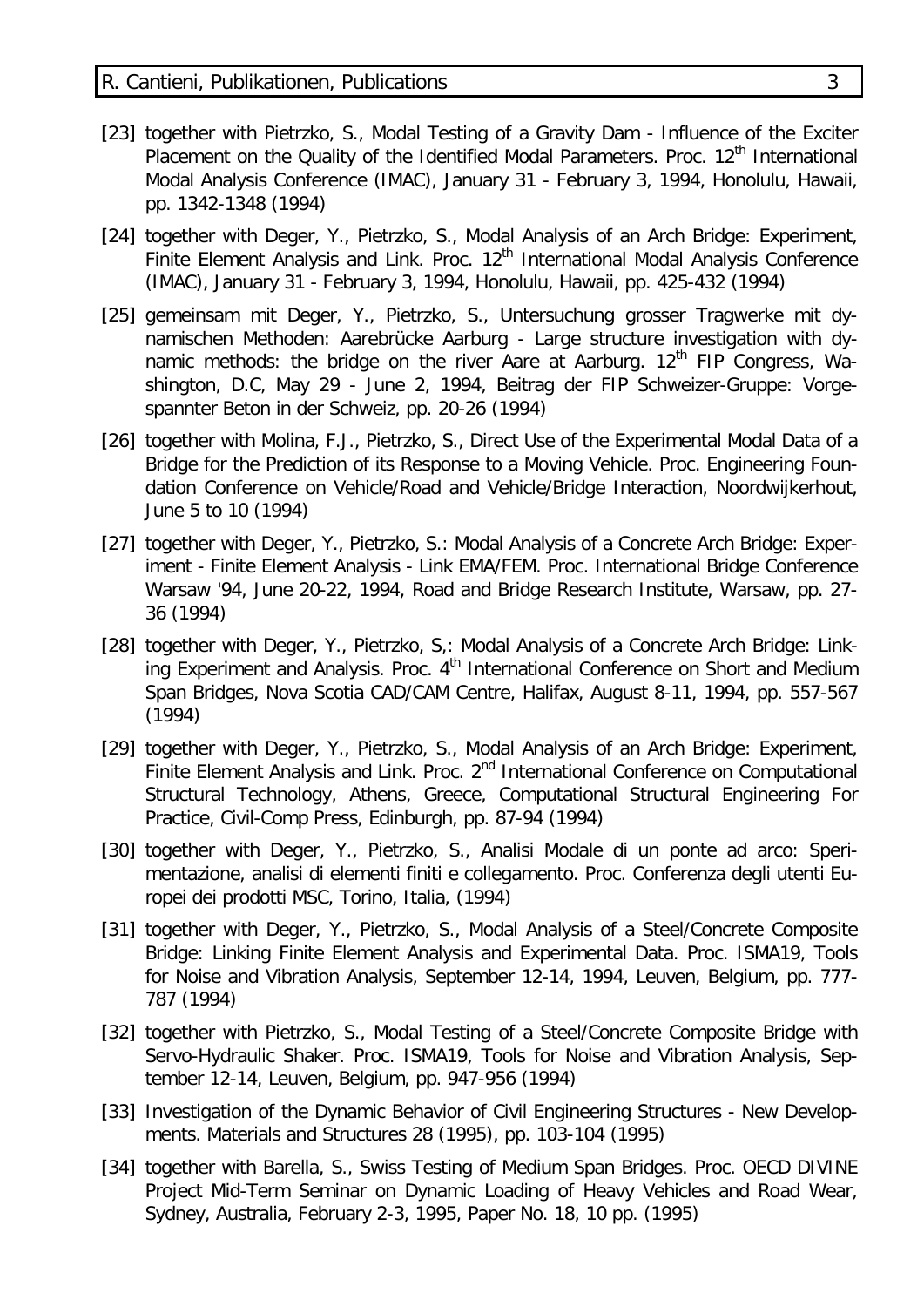- [23] together with Pietrzko, S., Modal Testing of a Gravity Dam Influence of the Exciter Placement on the Quality of the Identified Modal Parameters. Proc. 12<sup>th</sup> International Modal Analysis Conference (IMAC), January 31 - February 3, 1994, Honolulu, Hawaii, pp. 1342-1348 (1994)
- [24] together with Deger, Y., Pietrzko, S., Modal Analysis of an Arch Bridge: Experiment, Finite Element Analysis and Link. Proc.  $12<sup>th</sup>$  International Modal Analysis Conference (IMAC), January 31 - February 3, 1994, Honolulu, Hawaii, pp. 425-432 (1994)
- [25] gemeinsam mit Deger, Y., Pietrzko, S., Untersuchung grosser Tragwerke mit dynamischen Methoden: Aarebrücke Aarburg - Large structure investigation with dynamic methods: the bridge on the river Aare at Aarburg.  $12<sup>th</sup>$  FIP Congress, Washington, D.C, May 29 - June 2, 1994, Beitrag der FIP Schweizer-Gruppe: Vorgespannter Beton in der Schweiz, pp. 20-26 (1994)
- [26] together with Molina, F.J., Pietrzko, S., Direct Use of the Experimental Modal Data of a Bridge for the Prediction of its Response to a Moving Vehicle. Proc. Engineering Foundation Conference on Vehicle/Road and Vehicle/Bridge Interaction, Noordwijkerhout, June 5 to 10 (1994)
- [27] together with Deger, Y., Pietrzko, S.: Modal Analysis of a Concrete Arch Bridge: Experiment - Finite Element Analysis - Link EMA/FEM. Proc. International Bridge Conference Warsaw '94, June 20-22, 1994, Road and Bridge Research Institute, Warsaw, pp. 27- 36 (1994)
- [28] together with Deger, Y., Pietrzko, S,: Modal Analysis of a Concrete Arch Bridge: Linking Experiment and Analysis. Proc. 4<sup>th</sup> International Conference on Short and Medium Span Bridges, Nova Scotia CAD/CAM Centre, Halifax, August 8-11, 1994, pp. 557-567 (1994)
- [29] together with Deger, Y., Pietrzko, S., Modal Analysis of an Arch Bridge: Experiment, Finite Element Analysis and Link. Proc. 2<sup>nd</sup> International Conference on Computational Structural Technology, Athens, Greece, Computational Structural Engineering For Practice, Civil-Comp Press, Edinburgh, pp. 87-94 (1994)
- [30] together with Deger, Y., Pietrzko, S., Analisi Modale di un ponte ad arco: Sperimentazione, analisi di elementi finiti e collegamento. Proc. Conferenza degli utenti Europei dei prodotti MSC, Torino, Italia, (1994)
- [31] together with Deger, Y., Pietrzko, S., Modal Analysis of a Steel/Concrete Composite Bridge: Linking Finite Element Analysis and Experimental Data. Proc. ISMA19, Tools for Noise and Vibration Analysis, September 12-14, 1994, Leuven, Belgium, pp. 777- 787 (1994)
- [32] together with Pietrzko, S., Modal Testing of a Steel/Concrete Composite Bridge with Servo-Hydraulic Shaker. Proc. ISMA19, Tools for Noise and Vibration Analysis, September 12-14, Leuven, Belgium, pp. 947-956 (1994)
- [33] Investigation of the Dynamic Behavior of Civil Engineering Structures New Developments. Materials and Structures 28 (1995), pp. 103-104 (1995)
- [34] together with Barella, S., Swiss Testing of Medium Span Bridges. Proc. OECD DIVINE Project Mid-Term Seminar on Dynamic Loading of Heavy Vehicles and Road Wear, Sydney, Australia, February 2-3, 1995, Paper No. 18, 10 pp. (1995)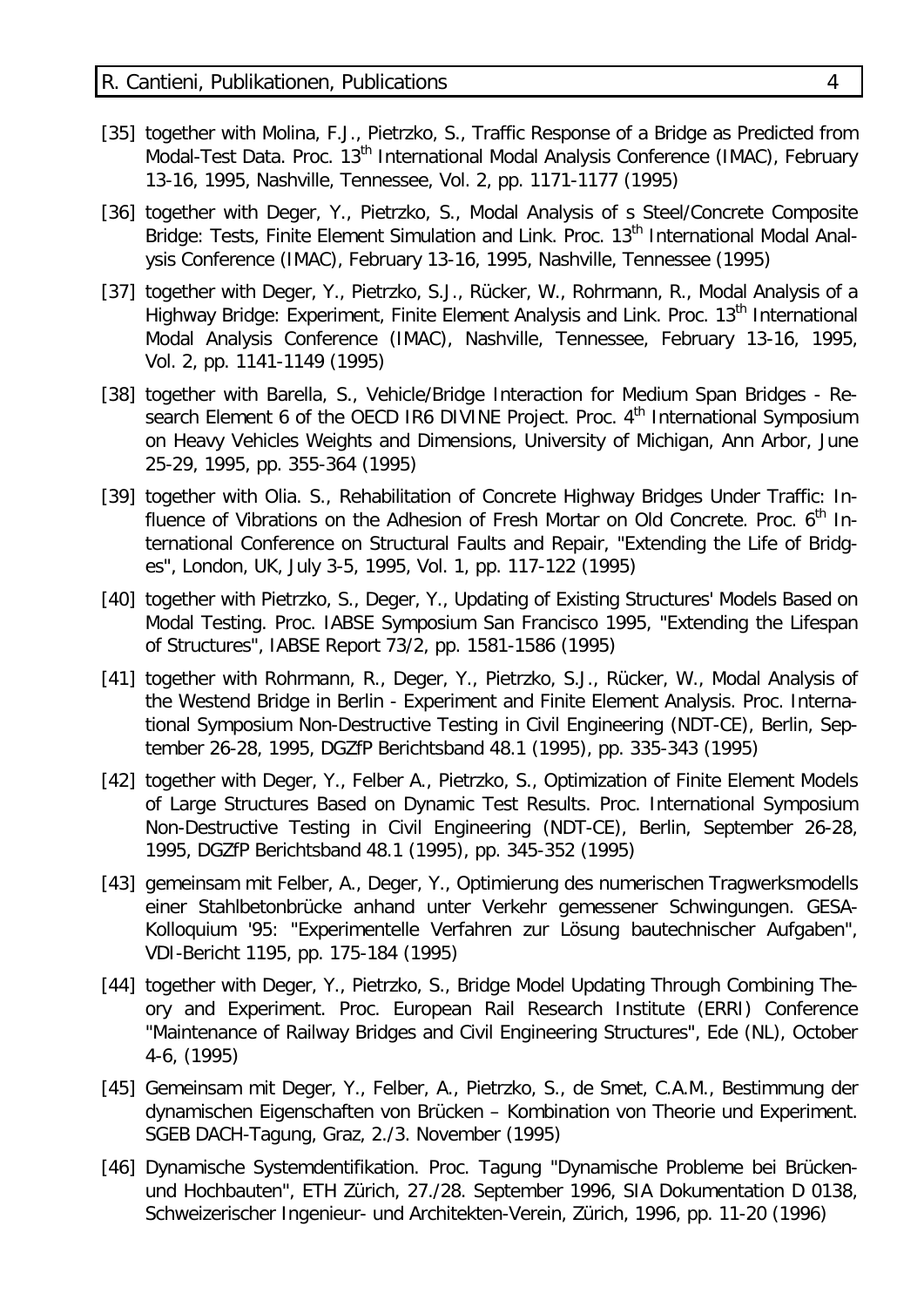- [35] together with Molina, F.J., Pietrzko, S., Traffic Response of a Bridge as Predicted from Modal-Test Data. Proc. 13<sup>th</sup> International Modal Analysis Conference (IMAC), February 13-16, 1995, Nashville, Tennessee, Vol. 2, pp. 1171-1177 (1995)
- [36] together with Deger, Y., Pietrzko, S., Modal Analysis of s Steel/Concrete Composite Bridge: Tests, Finite Element Simulation and Link. Proc. 13<sup>th</sup> International Modal Analysis Conference (IMAC), February 13-16, 1995, Nashville, Tennessee (1995)
- [37] together with Deger, Y., Pietrzko, S.J., Rücker, W., Rohrmann, R., Modal Analysis of a Highway Bridge: Experiment, Finite Element Analysis and Link. Proc. 13<sup>th</sup> International Modal Analysis Conference (IMAC), Nashville, Tennessee, February 13-16, 1995, Vol. 2, pp. 1141-1149 (1995)
- [38] together with Barella, S., Vehicle/Bridge Interaction for Medium Span Bridges Research Element 6 of the OECD IR6 DIVINE Project. Proc. 4<sup>th</sup> International Symposium on Heavy Vehicles Weights and Dimensions, University of Michigan, Ann Arbor, June 25-29, 1995, pp. 355-364 (1995)
- [39] together with Olia. S., Rehabilitation of Concrete Highway Bridges Under Traffic: Influence of Vibrations on the Adhesion of Fresh Mortar on Old Concrete. Proc. 6<sup>th</sup> International Conference on Structural Faults and Repair, "Extending the Life of Bridges", London, UK, July 3-5, 1995, Vol. 1, pp. 117-122 (1995)
- [40] together with Pietrzko, S., Deger, Y., Updating of Existing Structures' Models Based on Modal Testing. Proc. IABSE Symposium San Francisco 1995, "Extending the Lifespan of Structures", IABSE Report 73/2, pp. 1581-1586 (1995)
- [41] together with Rohrmann, R., Deger, Y., Pietrzko, S.J., Rücker, W., Modal Analysis of the Westend Bridge in Berlin - Experiment and Finite Element Analysis. Proc. International Symposium Non-Destructive Testing in Civil Engineering (NDT-CE), Berlin, September 26-28, 1995, DGZfP Berichtsband 48.1 (1995), pp. 335-343 (1995)
- [42] together with Deger, Y., Felber A., Pietrzko, S., Optimization of Finite Element Models of Large Structures Based on Dynamic Test Results. Proc. International Symposium Non-Destructive Testing in Civil Engineering (NDT-CE), Berlin, September 26-28, 1995, DGZfP Berichtsband 48.1 (1995), pp. 345-352 (1995)
- [43] gemeinsam mit Felber, A., Deger, Y., Optimierung des numerischen Tragwerksmodells einer Stahlbetonbrücke anhand unter Verkehr gemessener Schwingungen. GESA-Kolloquium '95: "Experimentelle Verfahren zur Lösung bautechnischer Aufgaben", VDI-Bericht 1195, pp. 175-184 (1995)
- [44] together with Deger, Y., Pietrzko, S., Bridge Model Updating Through Combining Theory and Experiment. Proc. European Rail Research Institute (ERRI) Conference "Maintenance of Railway Bridges and Civil Engineering Structures", Ede (NL), October 4-6, (1995)
- [45] Gemeinsam mit Deger, Y., Felber, A., Pietrzko, S., de Smet, C.A.M., Bestimmung der dynamischen Eigenschaften von Brücken – Kombination von Theorie und Experiment. SGEB DACH-Tagung, Graz, 2./3. November (1995)
- [46] Dynamische Systemdentifikation. Proc. Tagung "Dynamische Probleme bei Brückenund Hochbauten", ETH Zürich, 27./28. September 1996, SIA Dokumentation D 0138, Schweizerischer Ingenieur- und Architekten-Verein, Zürich, 1996, pp. 11-20 (1996)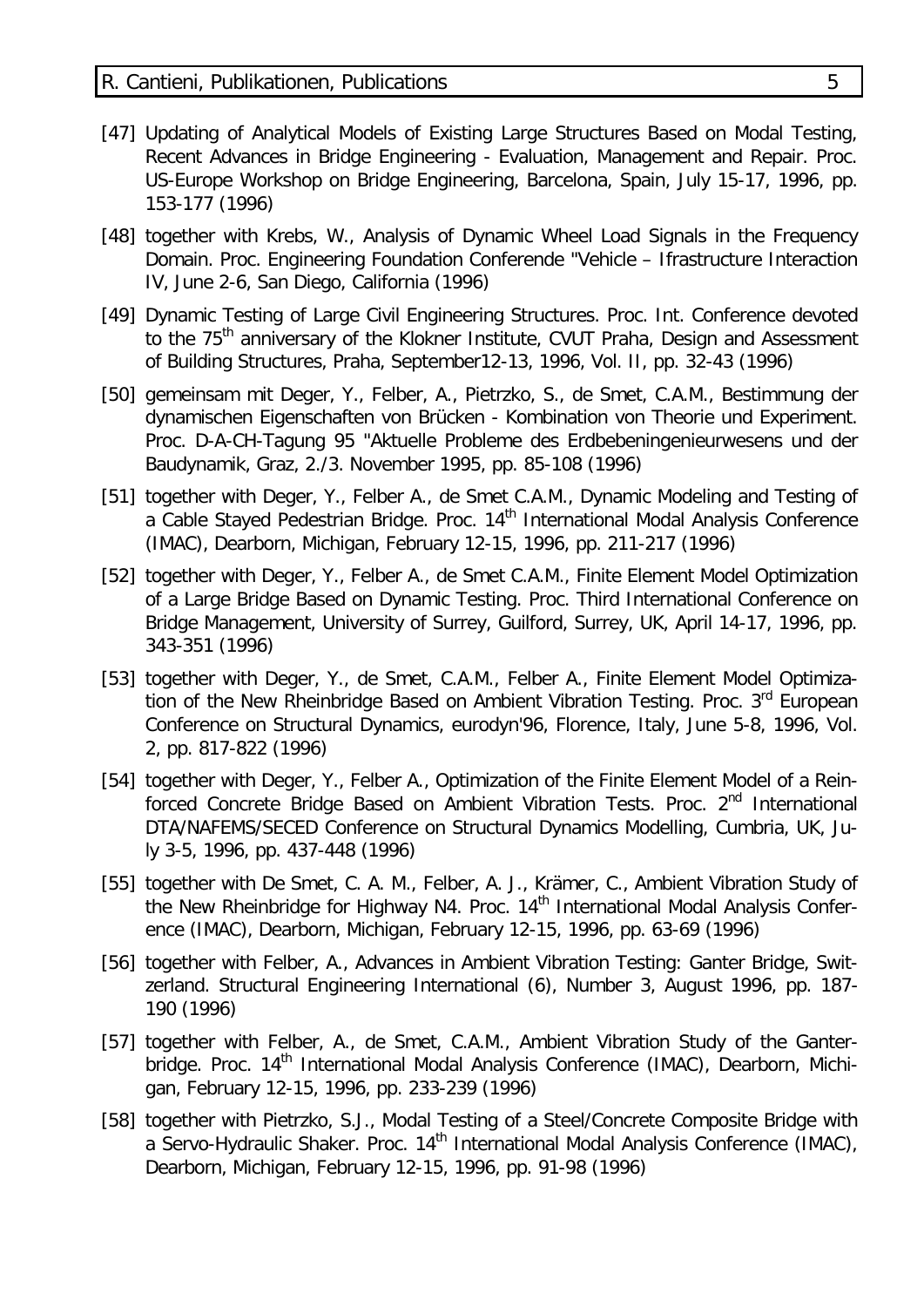- [47] Updating of Analytical Models of Existing Large Structures Based on Modal Testing, Recent Advances in Bridge Engineering - Evaluation, Management and Repair. Proc. US-Europe Workshop on Bridge Engineering, Barcelona, Spain, July 15-17, 1996, pp. 153-177 (1996)
- [48] together with Krebs, W., Analysis of Dynamic Wheel Load Signals in the Frequency Domain. Proc. Engineering Foundation Conferende "Vehicle – Ifrastructure Interaction IV, June 2-6, San Diego, California (1996)
- [49] Dynamic Testing of Large Civil Engineering Structures. Proc. Int. Conference devoted to the 75<sup>th</sup> anniversary of the Klokner Institute, CVUT Praha, Design and Assessment of Building Structures, Praha, September12-13, 1996, Vol. II, pp. 32-43 (1996)
- [50] gemeinsam mit Deger, Y., Felber, A., Pietrzko, S., de Smet, C.A.M., Bestimmung der dynamischen Eigenschaften von Brücken - Kombination von Theorie und Experiment. Proc. D-A-CH-Tagung 95 "Aktuelle Probleme des Erdbebeningenieurwesens und der Baudynamik, Graz, 2./3. November 1995, pp. 85-108 (1996)
- [51] together with Deger, Y., Felber A., de Smet C.A.M., Dynamic Modeling and Testing of a Cable Stayed Pedestrian Bridge. Proc. 14<sup>th</sup> International Modal Analysis Conference (IMAC), Dearborn, Michigan, February 12-15, 1996, pp. 211-217 (1996)
- [52] together with Deger, Y., Felber A., de Smet C.A.M., Finite Element Model Optimization of a Large Bridge Based on Dynamic Testing. Proc. Third International Conference on Bridge Management, University of Surrey, Guilford, Surrey, UK, April 14-17, 1996, pp. 343-351 (1996)
- [53] together with Deger, Y., de Smet, C.A.M., Felber A., Finite Element Model Optimization of the New Rheinbridge Based on Ambient Vibration Testing. Proc. 3<sup>rd</sup> European Conference on Structural Dynamics, eurodyn'96, Florence, Italy, June 5-8, 1996, Vol. 2, pp. 817-822 (1996)
- [54] together with Deger, Y., Felber A., Optimization of the Finite Element Model of a Reinforced Concrete Bridge Based on Ambient Vibration Tests. Proc. 2<sup>nd</sup> International DTA/NAFEMS/SECED Conference on Structural Dynamics Modelling, Cumbria, UK, July 3-5, 1996, pp. 437-448 (1996)
- [55] together with De Smet, C. A. M., Felber, A. J., Krämer, C., Ambient Vibration Study of the New Rheinbridge for Highway N4. Proc. 14<sup>th</sup> International Modal Analysis Conference (IMAC), Dearborn, Michigan, February 12-15, 1996, pp. 63-69 (1996)
- [56] together with Felber, A., Advances in Ambient Vibration Testing: Ganter Bridge, Switzerland. Structural Engineering International (6), Number 3, August 1996, pp. 187- 190 (1996)
- [57] together with Felber, A., de Smet, C.A.M., Ambient Vibration Study of the Ganterbridge. Proc. 14<sup>th</sup> International Modal Analysis Conference (IMAC), Dearborn, Michigan, February 12-15, 1996, pp. 233-239 (1996)
- [58] together with Pietrzko, S.J., Modal Testing of a Steel/Concrete Composite Bridge with a Servo-Hydraulic Shaker. Proc. 14<sup>th</sup> International Modal Analysis Conference (IMAC), Dearborn, Michigan, February 12-15, 1996, pp. 91-98 (1996)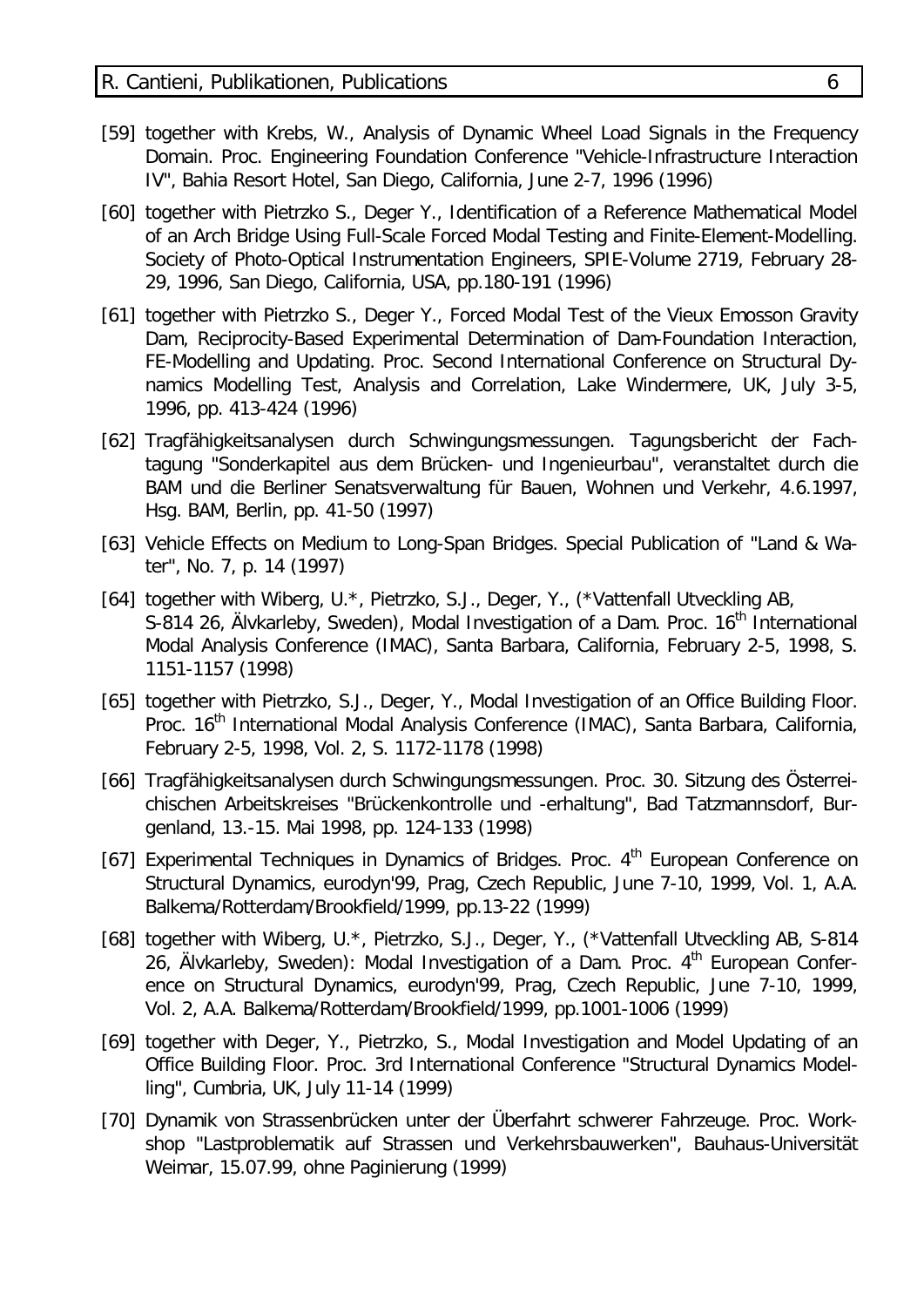- [59] together with Krebs, W., Analysis of Dynamic Wheel Load Signals in the Frequency Domain. Proc. Engineering Foundation Conference "Vehicle-Infrastructure Interaction IV", Bahia Resort Hotel, San Diego, California, June 2-7, 1996 (1996)
- [60] together with Pietrzko S., Deger Y., Identification of a Reference Mathematical Model of an Arch Bridge Using Full-Scale Forced Modal Testing and Finite-Element-Modelling. Society of Photo-Optical Instrumentation Engineers, SPIE-Volume 2719, February 28- 29, 1996, San Diego, California, USA, pp.180-191 (1996)
- [61] together with Pietrzko S., Deger Y., Forced Modal Test of the Vieux Emosson Gravity Dam, Reciprocity-Based Experimental Determination of Dam-Foundation Interaction, FE-Modelling and Updating. Proc. Second International Conference on Structural Dynamics Modelling Test, Analysis and Correlation, Lake Windermere, UK, July 3-5, 1996, pp. 413-424 (1996)
- [62] Tragfähigkeitsanalysen durch Schwingungsmessungen. Tagungsbericht der Fachtagung "Sonderkapitel aus dem Brücken- und Ingenieurbau", veranstaltet durch die BAM und die Berliner Senatsverwaltung für Bauen, Wohnen und Verkehr, 4.6.1997, Hsg. BAM, Berlin, pp. 41-50 (1997)
- [63] Vehicle Effects on Medium to Long-Span Bridges. Special Publication of "Land & Water", No. 7, p. 14 (1997)
- [64] together with Wiberg, U.\*, Pietrzko, S.J., Deger, Y., (\*Vattenfall Utveckling AB, S-814 26, Älvkarleby, Sweden), Modal Investigation of a Dam. Proc. 16<sup>th</sup> International Modal Analysis Conference (IMAC), Santa Barbara, California, February 2-5, 1998, S. 1151-1157 (1998)
- [65] together with Pietrzko, S.J., Deger, Y., Modal Investigation of an Office Building Floor. Proc. 16<sup>th</sup> International Modal Analysis Conference (IMAC), Santa Barbara, California, February 2-5, 1998, Vol. 2, S. 1172-1178 (1998)
- [66] Tragfähigkeitsanalysen durch Schwingungsmessungen. Proc. 30. Sitzung des Österreichischen Arbeitskreises "Brückenkontrolle und -erhaltung", Bad Tatzmannsdorf, Burgenland, 13.-15. Mai 1998, pp. 124-133 (1998)
- [67] Experimental Techniques in Dynamics of Bridges. Proc.  $4<sup>th</sup>$  European Conference on Structural Dynamics, eurodyn'99, Prag, Czech Republic, June 7-10, 1999, Vol. 1, A.A. Balkema/Rotterdam/Brookfield/1999, pp.13-22 (1999)
- [68] together with Wiberg, U.\*, Pietrzko, S.J., Deger, Y., (\*Vattenfall Utveckling AB, S-814 26, Älvkarleby, Sweden): Modal Investigation of a Dam. Proc.  $4<sup>th</sup>$  European Conference on Structural Dynamics, eurodyn'99, Prag, Czech Republic, June 7-10, 1999, Vol. 2, A.A. Balkema/Rotterdam/Brookfield/1999, pp.1001-1006 (1999)
- [69] together with Deger, Y., Pietrzko, S., Modal Investigation and Model Updating of an Office Building Floor. Proc. 3rd International Conference "Structural Dynamics Modelling", Cumbria, UK, July 11-14 (1999)
- [70] Dynamik von Strassenbrücken unter der Überfahrt schwerer Fahrzeuge. Proc. Workshop "Lastproblematik auf Strassen und Verkehrsbauwerken", Bauhaus-Universität Weimar, 15.07.99, ohne Paginierung (1999)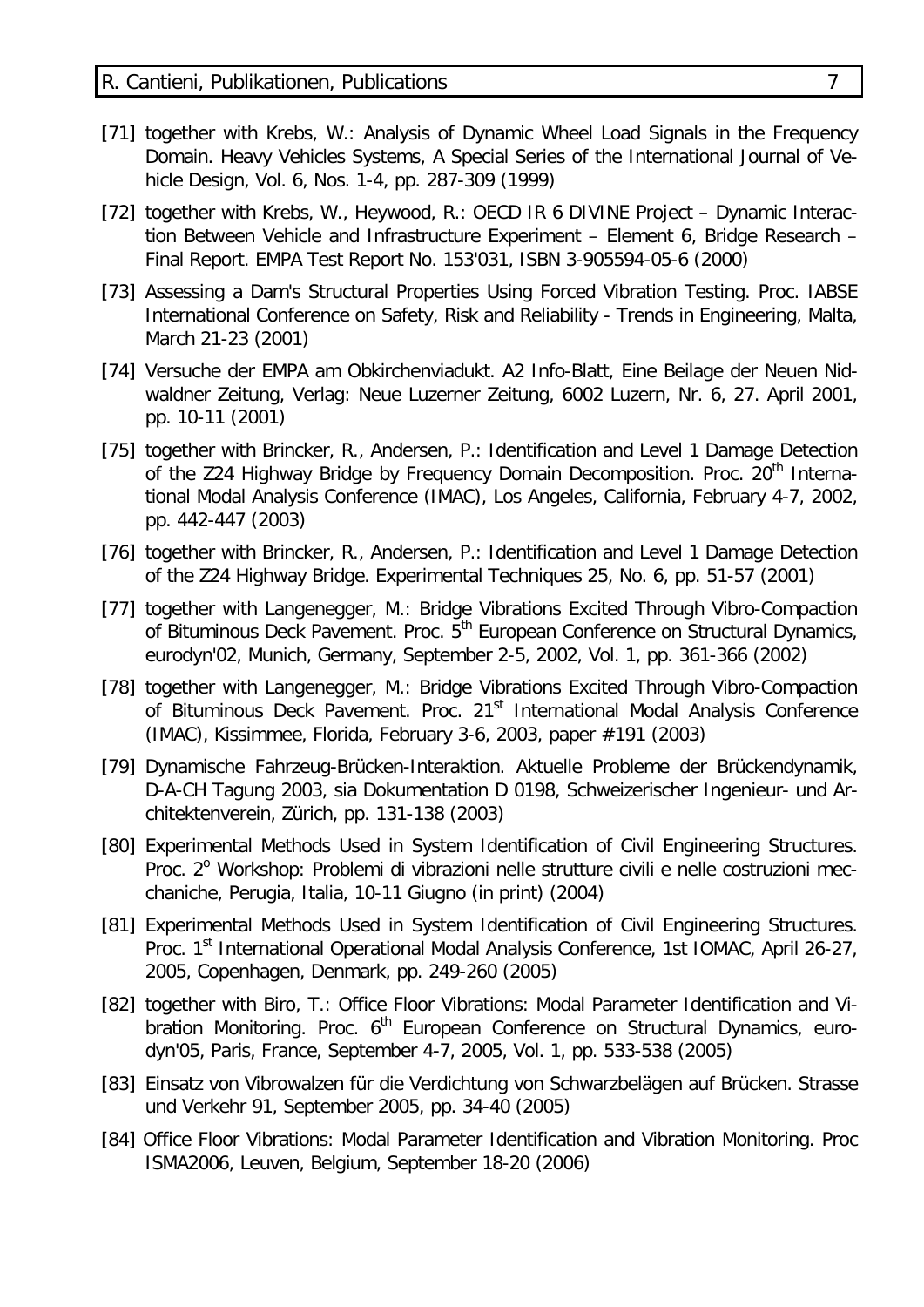- [71] together with Krebs, W.: Analysis of Dynamic Wheel Load Signals in the Frequency Domain. Heavy Vehicles Systems, A Special Series of the International Journal of Vehicle Design, Vol. 6, Nos. 1-4, pp. 287-309 (1999)
- [72] together with Krebs, W., Heywood, R.: OECD IR 6 DIVINE Project Dynamic Interaction Between Vehicle and Infrastructure Experiment – Element 6, Bridge Research – Final Report. EMPA Test Report No. 153'031, ISBN 3-905594-05-6 (2000)
- [73] Assessing a Dam's Structural Properties Using Forced Vibration Testing. Proc. IABSE International Conference on Safety, Risk and Reliability - Trends in Engineering, Malta, March 21-23 (2001)
- [74] Versuche der EMPA am Obkirchenviadukt. A2 Info-Blatt, Eine Beilage der Neuen Nidwaldner Zeitung, Verlag: Neue Luzerner Zeitung, 6002 Luzern, Nr. 6, 27. April 2001, pp. 10-11 (2001)
- [75] together with Brincker, R., Andersen, P.: Identification and Level 1 Damage Detection of the Z24 Highway Bridge by Frequency Domain Decomposition. Proc. 20<sup>th</sup> International Modal Analysis Conference (IMAC), Los Angeles, California, February 4-7, 2002, pp. 442-447 (2003)
- [76] together with Brincker, R., Andersen, P.: Identification and Level 1 Damage Detection of the Z24 Highway Bridge. Experimental Techniques 25, No. 6, pp. 51-57 (2001)
- [77] together with Langenegger, M.: Bridge Vibrations Excited Through Vibro-Compaction of Bituminous Deck Pavement. Proc. 5<sup>th</sup> European Conference on Structural Dynamics, eurodyn'02, Munich, Germany, September 2-5, 2002, Vol. 1, pp. 361-366 (2002)
- [78] together with Langenegger, M.: Bridge Vibrations Excited Through Vibro-Compaction of Bituminous Deck Pavement. Proc. 21<sup>st</sup> International Modal Analysis Conference (IMAC), Kissimmee, Florida, February 3-6, 2003, paper #191 (2003)
- [79] Dynamische Fahrzeug-Brücken-Interaktion. Aktuelle Probleme der Brückendynamik, D-A-CH Tagung 2003, sia Dokumentation D 0198, Schweizerischer Ingenieur- und Architektenverein, Zürich, pp. 131-138 (2003)
- [80] Experimental Methods Used in System Identification of Civil Engineering Structures. Proc. 2<sup>°</sup> Workshop: Problemi di vibrazioni nelle strutture civili e nelle costruzioni mecchaniche, Perugia, Italia, 10-11 Giugno (in print) (2004)
- [81] Experimental Methods Used in System Identification of Civil Engineering Structures. Proc. 1<sup>st</sup> International Operational Modal Analysis Conference, 1st IOMAC, April 26-27, 2005, Copenhagen, Denmark, pp. 249-260 (2005)
- [82] together with Biro, T.: Office Floor Vibrations: Modal Parameter Identification and Vibration Monitoring. Proc.  $6<sup>th</sup>$  European Conference on Structural Dynamics, eurodyn'05, Paris, France, September 4-7, 2005, Vol. 1, pp. 533-538 (2005)
- [83] Einsatz von Vibrowalzen für die Verdichtung von Schwarzbelägen auf Brücken. Strasse und Verkehr 91, September 2005, pp. 34-40 (2005)
- [84] Office Floor Vibrations: Modal Parameter Identification and Vibration Monitoring. Proc ISMA2006, Leuven, Belgium, September 18-20 (2006)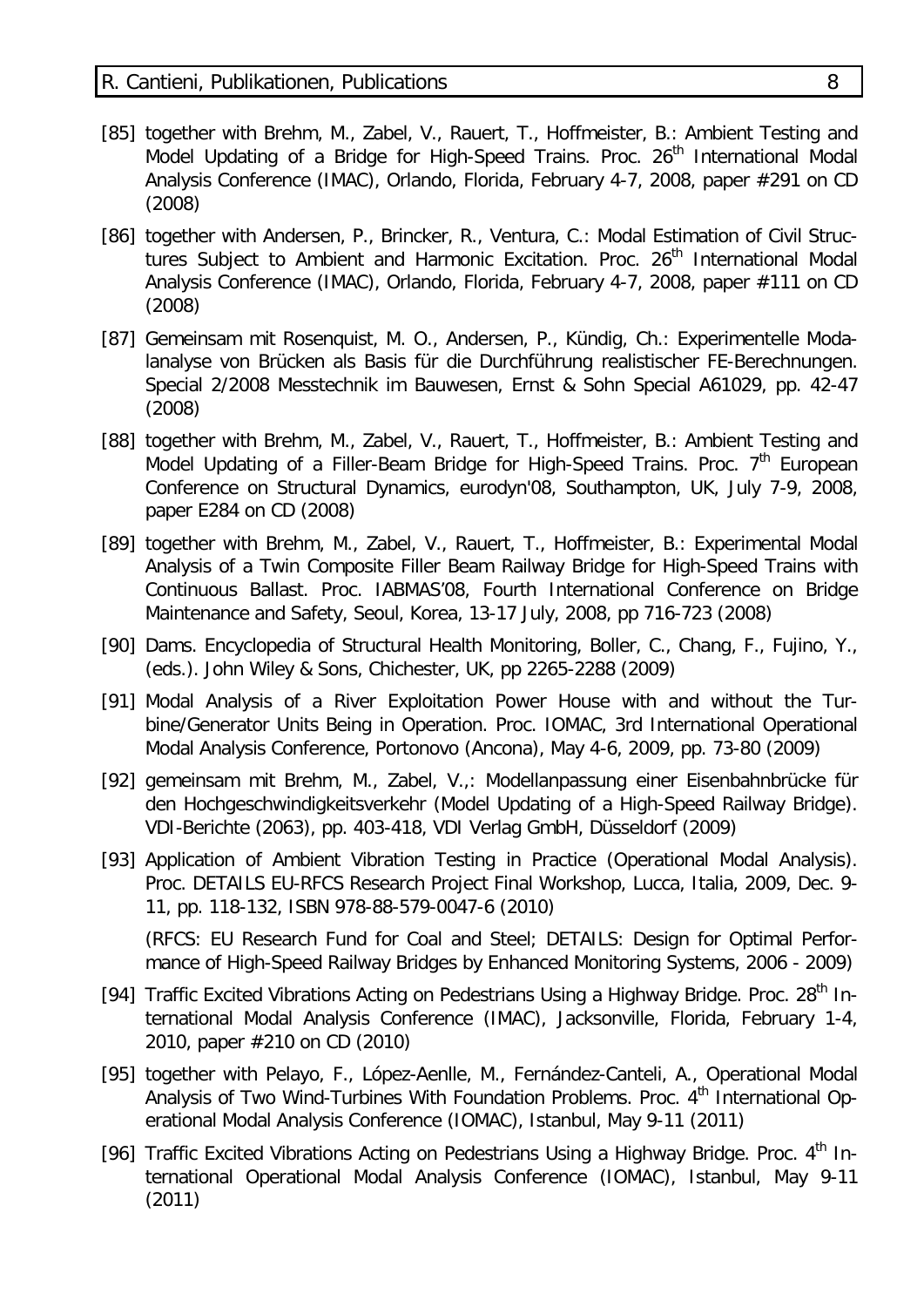- [85] together with Brehm, M., Zabel, V., Rauert, T., Hoffmeister, B.: Ambient Testing and Model Updating of a Bridge for High-Speed Trains. Proc. 26<sup>th</sup> International Modal Analysis Conference (IMAC), Orlando, Florida, February 4-7, 2008, paper #291 on CD (2008)
- [86] together with Andersen, P., Brincker, R., Ventura, C.: Modal Estimation of Civil Structures Subject to Ambient and Harmonic Excitation. Proc. 26<sup>th</sup> International Modal Analysis Conference (IMAC), Orlando, Florida, February 4-7, 2008, paper #111 on CD (2008)
- [87] Gemeinsam mit Rosenquist, M. O., Andersen, P., Kündig, Ch.: Experimentelle Modalanalyse von Brücken als Basis für die Durchführung realistischer FE-Berechnungen. Special 2/2008 Messtechnik im Bauwesen, Ernst & Sohn Special A61029, pp. 42-47 (2008)
- [88] together with Brehm, M., Zabel, V., Rauert, T., Hoffmeister, B.: Ambient Testing and Model Updating of a Filler-Beam Bridge for High-Speed Trains. Proc.  $7<sup>th</sup>$  European Conference on Structural Dynamics, eurodyn'08, Southampton, UK, July 7-9, 2008, paper E284 on CD (2008)
- [89] together with Brehm, M., Zabel, V., Rauert, T., Hoffmeister, B.: Experimental Modal Analysis of a Twin Composite Filler Beam Railway Bridge for High-Speed Trains with Continuous Ballast. Proc. IABMAS'08, Fourth International Conference on Bridge Maintenance and Safety, Seoul, Korea, 13-17 July, 2008, pp 716-723 (2008)
- [90] Dams. Encyclopedia of Structural Health Monitoring, Boller, C., Chang, F., Fujino, Y., (eds.). John Wiley & Sons, Chichester, UK, pp 2265-2288 (2009)
- [91] Modal Analysis of a River Exploitation Power House with and without the Turbine/Generator Units Being in Operation. Proc. IOMAC, 3rd International Operational Modal Analysis Conference, Portonovo (Ancona), May 4-6, 2009, pp. 73-80 (2009)
- [92] gemeinsam mit Brehm, M., Zabel, V.,: Modellanpassung einer Eisenbahnbrücke für den Hochgeschwindigkeitsverkehr (Model Updating of a High-Speed Railway Bridge). VDI-Berichte (2063), pp. 403-418, VDI Verlag GmbH, Düsseldorf (2009)
- [93] Application of Ambient Vibration Testing in Practice (Operational Modal Analysis). Proc. DETAILS EU-RFCS Research Project Final Workshop, Lucca, Italia, 2009, Dec. 9- 11, pp. 118-132, ISBN 978-88-579-0047-6 (2010)

(RFCS: EU Research Fund for Coal and Steel; DETAILS: Design for Optimal Performance of High-Speed Railway Bridges by Enhanced Monitoring Systems, 2006 - 2009)

- [94] Traffic Excited Vibrations Acting on Pedestrians Using a Highway Bridge. Proc. 28<sup>th</sup> International Modal Analysis Conference (IMAC), Jacksonville, Florida, February 1-4, 2010, paper #210 on CD (2010)
- [95] together with Pelayo, F., López-Aenlle, M., Fernández-Canteli, A., Operational Modal Analysis of Two Wind-Turbines With Foundation Problems. Proc. 4<sup>th</sup> International Operational Modal Analysis Conference (IOMAC), Istanbul, May 9-11 (2011)
- [96] Traffic Excited Vibrations Acting on Pedestrians Using a Highway Bridge. Proc. 4<sup>th</sup> International Operational Modal Analysis Conference (IOMAC), Istanbul, May 9-11 (2011)